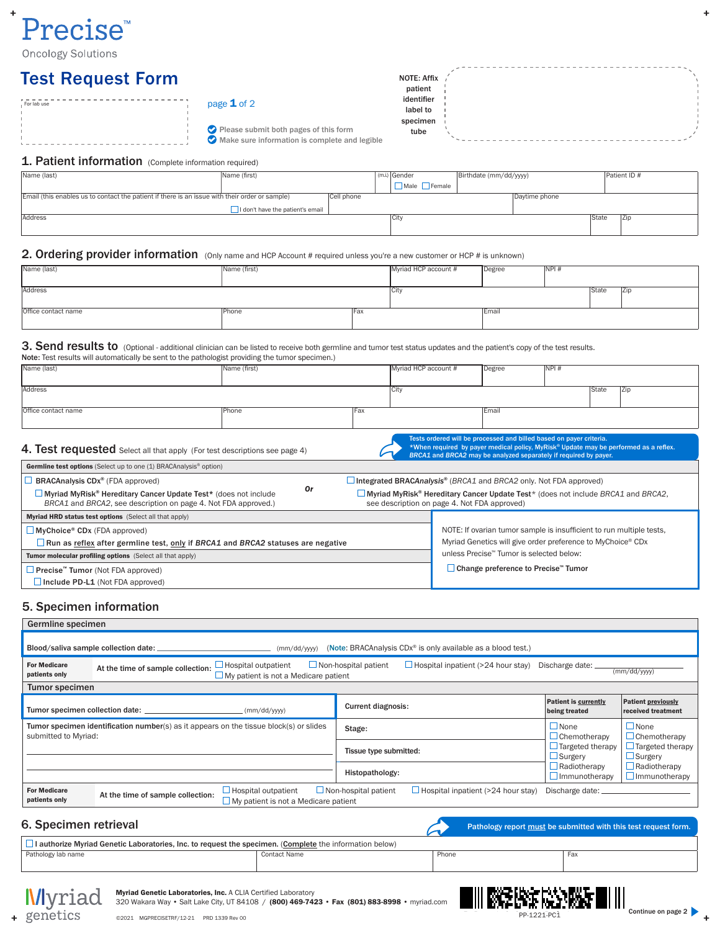# $\ddot{}$ Precise<sup>®</sup>

**Oncology Solutions** 

# Test Request Form

| identifier<br>page $1$ of 2<br>For lab use    |  |
|-----------------------------------------------|--|
| label to                                      |  |
| specimen                                      |  |
| Please submit both pages of this form<br>tube |  |
| Make sure information is complete and legible |  |

# 1. Patient information (Complete information required)

| Name (last)                                                                                    | Name (first)                     |            | (m.i.) Gender            | Birthdate (mm/dd/yyyy) |               |       | Patient ID # |
|------------------------------------------------------------------------------------------------|----------------------------------|------------|--------------------------|------------------------|---------------|-------|--------------|
|                                                                                                |                                  |            | $\n  Male$ <b>Female</b> |                        |               |       |              |
| Email (this enables us to contact the patient if there is an issue with their order or sample) |                                  | Cell phone |                          |                        | Daytime phone |       |              |
|                                                                                                | I don't have the patient's email |            |                          |                        |               |       |              |
| Address                                                                                        |                                  |            | City                     |                        |               | State | IZip         |
|                                                                                                |                                  |            |                          |                        |               |       |              |

NOTE: Affix /

# 2. Ordering provider information (Only name and HCP Account # required unless you're a new customer or HCP # is unknown)

| Name (last)         | Name (first) |             | Myriad HCP account # | Degree | NPI# |       |            |
|---------------------|--------------|-------------|----------------------|--------|------|-------|------------|
| Address             |              |             | City                 |        |      | State | <b>Zip</b> |
| Office contact name | Phone        | <b>IFax</b> |                      | Email  |      |       |            |

#### 3. Send results to (Optional - additional clinician can be listed to receive both germline and tumor test status updates and the patient's copy of the test results. Note: Test results will automatically be sent to the pathologist providing the tumor specimen.)

| 4. Test requested Select all that apply (For test descriptions see page 4) |              |       | Tests ordered will be processed and billed based on payer criteria.<br>BRCA1 and BRCA2 may be analyzed separately if required by payer. |        |      | *When required by payer medical policy, MyRisk® Update may be performed as a reflex. |  |
|----------------------------------------------------------------------------|--------------|-------|-----------------------------------------------------------------------------------------------------------------------------------------|--------|------|--------------------------------------------------------------------------------------|--|
| Office contact name                                                        | Phone        | l Fax |                                                                                                                                         | Email  |      |                                                                                      |  |
| Address                                                                    |              |       | City                                                                                                                                    |        |      | State<br> Zip                                                                        |  |
| Name (last)                                                                | Name (first) |       | Myriad HCP account #                                                                                                                    | Degree | NPI# |                                                                                      |  |

| <b>Germline test options</b> (Select up to one (1) BRACAnalysis <sup>®</sup> option)                                                     |                                                             |                                                                                                                                         |
|------------------------------------------------------------------------------------------------------------------------------------------|-------------------------------------------------------------|-----------------------------------------------------------------------------------------------------------------------------------------|
| <b>BRACAnalysis CDx<sup>®</sup></b> (FDA approved)                                                                                       |                                                             | $\Box$ Integrated BRACAnalysis <sup>®</sup> (BRCA1 and BRCA2 only. Not FDA approved)                                                    |
| $\Box$ Myriad MyRisk® Hereditary Cancer Update Test* (does not include<br>BRCA1 and BRCA2, see description on page 4. Not FDA approved.) | 0r                                                          | $\Box$ Myriad MyRisk® Hereditary Cancer Update Test* (does not include BRCA1 and BRCA2,<br>see description on page 4. Not FDA approved) |
| Myriad HRD status test options (Select all that apply)                                                                                   |                                                             |                                                                                                                                         |
| $\Box$ MyChoice <sup>®</sup> CD <sub>x</sub> (FDA approved)                                                                              |                                                             | NOTE: If ovarian tumor sample is insufficient to run multiple tests,                                                                    |
| $\Box$ Run as reflex after germline test, only if BRCA1 and BRCA2 statuses are negative                                                  | Myriad Genetics will give order preference to MyChoice® CDx |                                                                                                                                         |
| Tumor molecular profiling options (Select all that apply)                                                                                |                                                             | unless Precise™ Tumor is selected below:                                                                                                |
| $\Box$ Precise <sup>"</sup> Tumor (Not FDA approved)                                                                                     | □ Change preference to Precise™ Tumor                       |                                                                                                                                         |
| $\Box$ Include PD-L1 (Not FDA approved)                                                                                                  |                                                             |                                                                                                                                         |

# 5. Specimen information

| Germline specimen                                                                                                                                                                                                                                                     |                                   |                                                                           |                             |                                           |                                             |                                                 |  |  |
|-----------------------------------------------------------------------------------------------------------------------------------------------------------------------------------------------------------------------------------------------------------------------|-----------------------------------|---------------------------------------------------------------------------|-----------------------------|-------------------------------------------|---------------------------------------------|-------------------------------------------------|--|--|
| Blood/saliva sample collection date:<br>(Note: BRACAnalysis CDx <sup>®</sup> is only available as a blood test.)<br>(mm/dd/yyyy)                                                                                                                                      |                                   |                                                                           |                             |                                           |                                             |                                                 |  |  |
| $\Box$ Hospital outpatient<br>$\Box$ Non-hospital patient<br>$\Box$ Hospital inpatient (>24 hour stay)<br><b>For Medicare</b><br>Discharge date:<br>At the time of sample collection:<br>(mm/dd/yyyy)<br>patients only<br>$\Box$ My patient is not a Medicare patient |                                   |                                                                           |                             |                                           |                                             |                                                 |  |  |
| <b>Tumor specimen</b>                                                                                                                                                                                                                                                 |                                   |                                                                           |                             |                                           |                                             |                                                 |  |  |
| <b>Patient is currently</b><br><b>Current diagnosis:</b><br>(mm/dd/yyyy)<br>being treated                                                                                                                                                                             |                                   |                                                                           |                             |                                           |                                             | <b>Patient previously</b><br>received treatment |  |  |
| Tumor specimen identification number( $s$ ) as it appears on the tissue block( $s$ ) or slides<br>submitted to Myriad:                                                                                                                                                |                                   |                                                                           | Stage:                      |                                           | $\Box$ None<br>$\Box$ Chemotherapy          | $\Box$ None<br>$\Box$ Chemotherapy              |  |  |
|                                                                                                                                                                                                                                                                       |                                   |                                                                           |                             |                                           | $\Box$ Targeted therapy<br>$\Box$ Surgery   | $\Box$ Targeted therapy<br>$\Box$ Surgery       |  |  |
|                                                                                                                                                                                                                                                                       |                                   |                                                                           | Histopathology:             |                                           | $\Box$ Radiotherapy<br>$\Box$ Immunotherapy | $\Box$ Radiotherapy<br>$\Box$ Immunotherapy     |  |  |
| <b>For Medicare</b><br>patients only                                                                                                                                                                                                                                  | At the time of sample collection: | $\Box$ Hospital outpatient<br>$\Box$ My patient is not a Medicare patient | $\Box$ Non-hospital patient | $\Box$ Hospital inpatient (>24 hour stay) | Discharge date: _                           |                                                 |  |  |
| 6. Specimen retrieval<br>Pathology report must be submitted with this test request form.                                                                                                                                                                              |                                   |                                                                           |                             |                                           |                                             |                                                 |  |  |
| I authorize Myriad Genetic Laboratories, Inc. to request the specimen. (Complete the information below)                                                                                                                                                               |                                   |                                                                           |                             |                                           |                                             |                                                 |  |  |
| Pathology lab name                                                                                                                                                                                                                                                    |                                   | <b>Contact Name</b>                                                       |                             | Phone                                     | Fax                                         |                                                 |  |  |



Myriad Genetic Laboratories, Inc. A CLIA Certified Laboratory 320 Wakara Way • Salt Lake City, UT 84108 / (800) 469-7423 • Fax (801) 883-8998 • myriad.com



 $\ddot{}$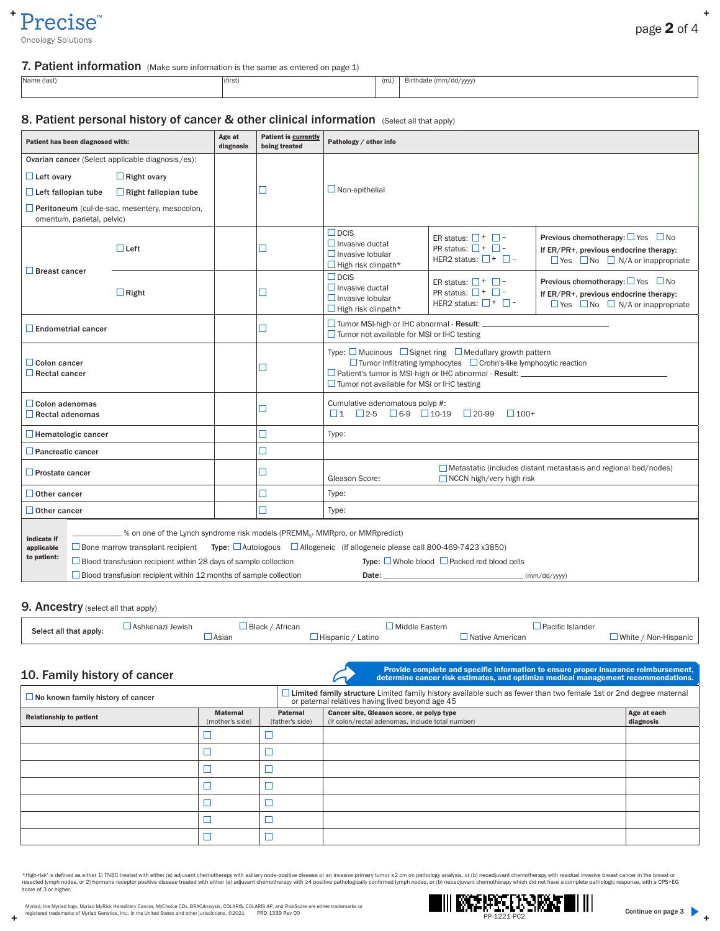## $\ddot{}$ Precise<sup>™</sup>

cology Solutions

### 7. Patient information (Make sure information is the same as entered on page 1)

| Name (last) |  |
|-------------|--|
|-------------|--|

(first) (m.i.) Birthdate (mm/dd/yyyy)

### 8. Patient personal history of cancer & other clinical information (Select all that apply)

| Patient has been diagnosed with:                                                                                                                                                                                                                                                                                                                                                                                                                                                                         |                            |                                                  | Age at<br>diagnosis | <b>Patient is currently</b><br>being treated | Pathology / other info                                                                                                                                                                                                                                                                              |                                                                                                |                                                                                                                                                  |  |  |
|----------------------------------------------------------------------------------------------------------------------------------------------------------------------------------------------------------------------------------------------------------------------------------------------------------------------------------------------------------------------------------------------------------------------------------------------------------------------------------------------------------|----------------------------|--------------------------------------------------|---------------------|----------------------------------------------|-----------------------------------------------------------------------------------------------------------------------------------------------------------------------------------------------------------------------------------------------------------------------------------------------------|------------------------------------------------------------------------------------------------|--------------------------------------------------------------------------------------------------------------------------------------------------|--|--|
|                                                                                                                                                                                                                                                                                                                                                                                                                                                                                                          |                            | Ovarian cancer (Select applicable diagnosis/es): |                     |                                              |                                                                                                                                                                                                                                                                                                     |                                                                                                |                                                                                                                                                  |  |  |
| $\Box$ Left ovary                                                                                                                                                                                                                                                                                                                                                                                                                                                                                        |                            | $\Box$ Right ovary                               |                     |                                              |                                                                                                                                                                                                                                                                                                     |                                                                                                |                                                                                                                                                  |  |  |
| П<br>$\Box$ Left fallopian tube<br>$\Box$ Right fallopian tube                                                                                                                                                                                                                                                                                                                                                                                                                                           |                            |                                                  |                     | $\Box$ Non-epithelial                        |                                                                                                                                                                                                                                                                                                     |                                                                                                |                                                                                                                                                  |  |  |
|                                                                                                                                                                                                                                                                                                                                                                                                                                                                                                          | omentum, parietal, pelvic) | Peritoneum (cul-de-sac, mesentery, mesocolon,    |                     |                                              |                                                                                                                                                                                                                                                                                                     |                                                                                                |                                                                                                                                                  |  |  |
|                                                                                                                                                                                                                                                                                                                                                                                                                                                                                                          |                            | $\Box$ Left                                      |                     | □                                            | $\Box$ DCIS<br>$\Box$ Invasive ductal<br>$\Box$ Invasive Iobular<br>$\Box$ High risk clinpath*                                                                                                                                                                                                      | ER status: $\Box$ + $\Box$ -<br>PR status: $\Box$ + $\Box$ -<br>HER2 status: $\Box$ + $\Box$ - | <b>Previous chemotherapy:</b> $\Box$ Yes $\Box$ No<br>If ER/PR+, previous endocrine therapy:<br>$\Box$ Yes $\Box$ No $\Box$ N/A or inappropriate |  |  |
| <b>Breast cancer</b>                                                                                                                                                                                                                                                                                                                                                                                                                                                                                     |                            | $\Box$ Right                                     |                     | $\Box$                                       | $\Box$ DCIS<br>$\Box$ Invasive ductal<br>$\Box$ Invasive lobular<br>$\Box$ High risk clinpath*                                                                                                                                                                                                      | ER status: $\Box$ + $\Box$ -<br>PR status: $\Box$ + $\Box$ -<br>HER2 status: $\Box$ + $\Box$ - | Previous chemotherapy: $\Box$ Yes $\Box$ No<br>If ER/PR+, previous endocrine therapy:<br>$\Box$ Yes $\Box$ No $\Box$ N/A or inappropriate        |  |  |
| <b>Endometrial cancer</b>                                                                                                                                                                                                                                                                                                                                                                                                                                                                                |                            |                                                  |                     | П                                            | $\Box$ Tumor not available for MSI or IHC testing                                                                                                                                                                                                                                                   |                                                                                                |                                                                                                                                                  |  |  |
| $\Box$ Colon cancer<br>$\Box$ Rectal cancer                                                                                                                                                                                                                                                                                                                                                                                                                                                              |                            |                                                  |                     | □                                            | Type: $\Box$ Mucinous $\Box$ Signet ring $\Box$ Medullary growth pattern<br>$\Box$ Tumor infiltrating lymphocytes $\Box$ Crohn's-like lymphocytic reaction<br>Patient's tumor is MSI-high or IHC abnormal - Result: __________________________<br>$\Box$ Tumor not available for MSI or IHC testing |                                                                                                |                                                                                                                                                  |  |  |
| $\Box$ Colon adenomas<br>$\Box$ Rectal adenomas                                                                                                                                                                                                                                                                                                                                                                                                                                                          |                            |                                                  |                     | П                                            | Cumulative adenomatous polyp #:<br>$\Box$ 1 $\Box$ 2-5 $\Box$ 6-9 $\Box$ 10-19                                                                                                                                                                                                                      | $\Box$ 20-99<br>$\Box$ 100+                                                                    |                                                                                                                                                  |  |  |
| $\Box$ Hematologic cancer                                                                                                                                                                                                                                                                                                                                                                                                                                                                                |                            |                                                  |                     | □                                            | Type:                                                                                                                                                                                                                                                                                               |                                                                                                |                                                                                                                                                  |  |  |
| <b>Pancreatic cancer</b>                                                                                                                                                                                                                                                                                                                                                                                                                                                                                 |                            |                                                  |                     | П                                            |                                                                                                                                                                                                                                                                                                     |                                                                                                |                                                                                                                                                  |  |  |
| $\Box$ Prostate cancer                                                                                                                                                                                                                                                                                                                                                                                                                                                                                   |                            |                                                  |                     | □                                            | Gleason Score:                                                                                                                                                                                                                                                                                      | $\Box$ NCCN high/very high risk                                                                | Metastatic (includes distant metastasis and regional bed/nodes)                                                                                  |  |  |
| Other cancer                                                                                                                                                                                                                                                                                                                                                                                                                                                                                             |                            |                                                  |                     | П                                            | Type:                                                                                                                                                                                                                                                                                               |                                                                                                |                                                                                                                                                  |  |  |
| $\Box$ Other cancer                                                                                                                                                                                                                                                                                                                                                                                                                                                                                      |                            |                                                  |                     | П                                            | Type:                                                                                                                                                                                                                                                                                               |                                                                                                |                                                                                                                                                  |  |  |
| % on one of the Lynch syndrome risk models (PREMM <sub>5</sub> , MMRpro, or MMRpredict)<br><b>Indicate if</b><br>□ Bone marrow transplant recipient Type: □ Autologous □ Allogeneic (If allogeneic please call 800-469-7423 x3850)<br>applicable<br>to patient:<br>$\Box$ Blood transfusion recipient within 28 days of sample collection<br><b>Type:</b> Whole blood $\Box$ Packed red blood cells<br>$\Box$ Blood transfusion recipient within 12 months of sample collection<br>Date:<br>(mm/dd/yyyy) |                            |                                                  |                     |                                              |                                                                                                                                                                                                                                                                                                     |                                                                                                |                                                                                                                                                  |  |  |

### 9. Ancestry (select all that apply)

| Select all that apply: | Jewish<br>ı Ashkenazi | Black<br>African | Middle<br>Eastern  | Pacific Islander  |                            |
|------------------------|-----------------------|------------------|--------------------|-------------------|----------------------------|
|                        |                       | Asian            | Hispanic<br>Latino | ⊿ Native American | $W$ hite<br>' Non-Hispanic |

## 10. Family history of cancer

 $\ddot{}$ 

Provide complete and specific information to ensure proper insurance reimbursement, determine cancer risk estimates, and optimize medical management recommendations.

| $\Box$ No known family history of cancer |                                    |                             | I limited family structure Limited family history available such as fewer than two female 1st or 2nd degree maternal<br>or paternal relatives having lived beyond age 45 |                          |  |  |  |  |
|------------------------------------------|------------------------------------|-----------------------------|--------------------------------------------------------------------------------------------------------------------------------------------------------------------------|--------------------------|--|--|--|--|
| <b>Relationship to patient</b>           | <b>Maternal</b><br>(mother's side) | Paternal<br>(father's side) | Cancer site, Gleason score, or polyp type<br>(if colon/rectal adenomas, include total number)                                                                            | Age at each<br>diagnosis |  |  |  |  |
|                                          |                                    |                             |                                                                                                                                                                          |                          |  |  |  |  |
|                                          |                                    |                             |                                                                                                                                                                          |                          |  |  |  |  |
|                                          |                                    |                             |                                                                                                                                                                          |                          |  |  |  |  |
|                                          |                                    |                             |                                                                                                                                                                          |                          |  |  |  |  |
|                                          |                                    |                             |                                                                                                                                                                          |                          |  |  |  |  |
|                                          |                                    |                             |                                                                                                                                                                          |                          |  |  |  |  |
|                                          |                                    |                             |                                                                                                                                                                          |                          |  |  |  |  |

\*High-risk' is defined as either 1) TNBC treated with either (a) adjuvant chemotherapy with axillary node-positive disease or an invasive primary tumor ≥2 cm on pathology analysis, or (b) neoadjuvant chemotherapy with res



 $\ddot{}$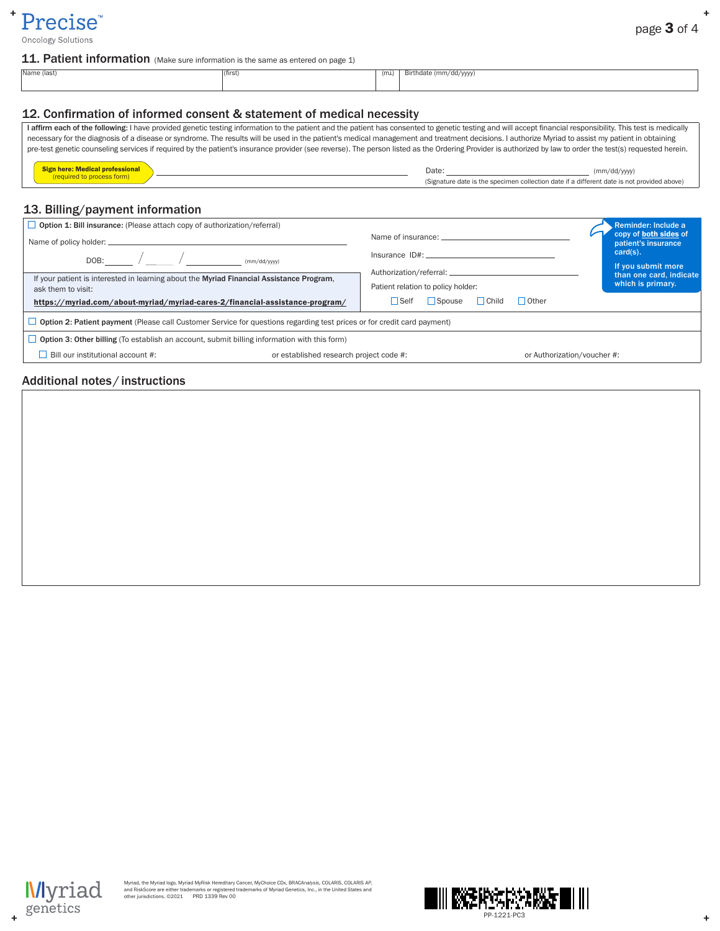

 $\pm$ 

Oncology Solutions

### 11. Patient information (Make sure information is the same as entered on page 1)

| Name (last) | $ $ (first) | (m.i.)<br>$\sqrt{2}$ | Birthdate (mm/dd/yyyy) |
|-------------|-------------|----------------------|------------------------|
|             |             |                      |                        |
|             |             |                      |                        |

# 12. Confirmation of informed consent & statement of medical necessity

| I affirm each of the following: I have provided genetic testing information to the patient and the patient has consented to genetic testing and will accept financial responsibility. This test is medically |                                                                                            |              |  |  |  |  |  |
|--------------------------------------------------------------------------------------------------------------------------------------------------------------------------------------------------------------|--------------------------------------------------------------------------------------------|--------------|--|--|--|--|--|
| necessary for the diagnosis of a disease or syndrome. The results will be used in the patient's medical management and treatment decisions. I authorize Myriad to assist my patient in obtaining             |                                                                                            |              |  |  |  |  |  |
| pre-test genetic counseling services if required by the patient's insurance provider (see reverse). The person listed as the Ordering Provider is authorized by law to order the test(s) requested herein.   |                                                                                            |              |  |  |  |  |  |
|                                                                                                                                                                                                              |                                                                                            |              |  |  |  |  |  |
| <b>Sign here: Medical professional</b>                                                                                                                                                                       | Date:                                                                                      | (mm/dd/vvyy) |  |  |  |  |  |
| (required to process form)                                                                                                                                                                                   | (Signature date is the specimen collection date if a different date is not provided above) |              |  |  |  |  |  |

# 13. Billing/payment information

| $\Box$ Option 1: Bill insurance: (Please attach copy of authorization/referral)<br>Name of policy holder: __<br>DOB: $\sqrt{\frac{1}{\frac{(mm/dd/yyy)}{}}$                                    |                                         | Name of insurance:<br>Insurance ID#:                                                               |                             |  | Reminder: Include a<br>copy of both sides of<br>patient's insurance<br>$card(s)$ .<br>If you submit more |  |  |
|------------------------------------------------------------------------------------------------------------------------------------------------------------------------------------------------|-----------------------------------------|----------------------------------------------------------------------------------------------------|-----------------------------|--|----------------------------------------------------------------------------------------------------------|--|--|
| If your patient is interested in learning about the Myriad Financial Assistance Program.<br>ask them to visit:<br>https://myriad.com/about-myriad/myriad-cares-2/financial-assistance-program/ |                                         | Patient relation to policy holder:<br>$\Box$ Spouse<br>$\Box$ Other<br>$\Box$ Child<br>$\Box$ Self |                             |  | than one card, indicate<br>which is primary.                                                             |  |  |
| $\Box$ Option 2: Patient payment (Please call Customer Service for questions regarding test prices or for credit card payment)                                                                 |                                         |                                                                                                    |                             |  |                                                                                                          |  |  |
| <b>D</b> Option 3: Other billing (To establish an account, submit billing information with this form)                                                                                          |                                         |                                                                                                    |                             |  |                                                                                                          |  |  |
| Bill our institutional account #:                                                                                                                                                              | or established research project code #: |                                                                                                    | or Authorization/voucher #: |  |                                                                                                          |  |  |
|                                                                                                                                                                                                |                                         |                                                                                                    |                             |  |                                                                                                          |  |  |

## Additional notes / instructions